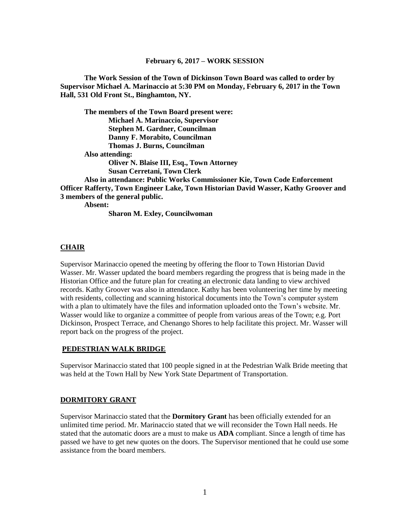#### **February 6, 2017 – WORK SESSION**

**The Work Session of the Town of Dickinson Town Board was called to order by Supervisor Michael A. Marinaccio at 5:30 PM on Monday, February 6, 2017 in the Town Hall, 531 Old Front St., Binghamton, NY.**

**The members of the Town Board present were: Michael A. Marinaccio, Supervisor Stephen M. Gardner, Councilman Danny F. Morabito, Councilman Thomas J. Burns, Councilman Also attending: Oliver N. Blaise III, Esq., Town Attorney Susan Cerretani, Town Clerk Also in attendance: Public Works Commissioner Kie, Town Code Enforcement Officer Rafferty, Town Engineer Lake, Town Historian David Wasser, Kathy Groover and 3 members of the general public. Absent:**

**Sharon M. Exley, Councilwoman**

#### **CHAIR**

Supervisor Marinaccio opened the meeting by offering the floor to Town Historian David Wasser. Mr. Wasser updated the board members regarding the progress that is being made in the Historian Office and the future plan for creating an electronic data landing to view archived records. Kathy Groover was also in attendance. Kathy has been volunteering her time by meeting with residents, collecting and scanning historical documents into the Town's computer system with a plan to ultimately have the files and information uploaded onto the Town's website. Mr. Wasser would like to organize a committee of people from various areas of the Town; e.g. Port Dickinson, Prospect Terrace, and Chenango Shores to help facilitate this project. Mr. Wasser will report back on the progress of the project.

#### **PEDESTRIAN WALK BRIDGE**

Supervisor Marinaccio stated that 100 people signed in at the Pedestrian Walk Bride meeting that was held at the Town Hall by New York State Department of Transportation.

#### **DORMITORY GRANT**

Supervisor Marinaccio stated that the **Dormitory Grant** has been officially extended for an unlimited time period. Mr. Marinaccio stated that we will reconsider the Town Hall needs. He stated that the automatic doors are a must to make us **ADA** compliant. Since a length of time has passed we have to get new quotes on the doors. The Supervisor mentioned that he could use some assistance from the board members.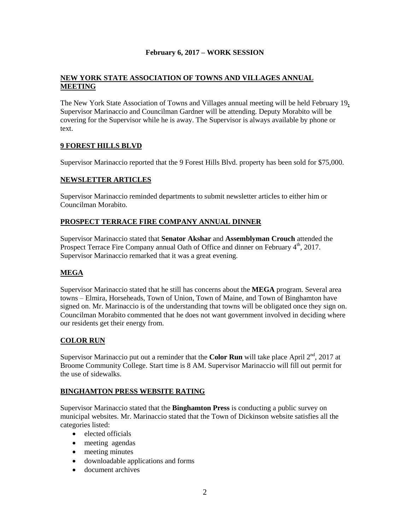## **February 6, 2017 – WORK SESSION**

## **NEW YORK STATE ASSOCIATION OF TOWNS AND VILLAGES ANNUAL MEETING**

The New York State Association of Towns and Villages annual meeting will be held February 19**.**  Supervisor Marinaccio and Councilman Gardner will be attending. Deputy Morabito will be covering for the Supervisor while he is away. The Supervisor is always available by phone or text.

# **9 FOREST HILLS BLVD**

Supervisor Marinaccio reported that the 9 Forest Hills Blvd. property has been sold for \$75,000.

## **NEWSLETTER ARTICLES**

Supervisor Marinaccio reminded departments to submit newsletter articles to either him or Councilman Morabito.

## **PROSPECT TERRACE FIRE COMPANY ANNUAL DINNER**

Supervisor Marinaccio stated that **Senator Akshar** and **Assemblyman Crouch** attended the Prospect Terrace Fire Company annual Oath of Office and dinner on February 4<sup>th</sup>, 2017. Supervisor Marinaccio remarked that it was a great evening.

# **MEGA**

Supervisor Marinaccio stated that he still has concerns about the **MEGA** program. Several area towns – Elmira, Horseheads, Town of Union, Town of Maine, and Town of Binghamton have signed on. Mr. Marinaccio is of the understanding that towns will be obligated once they sign on. Councilman Morabito commented that he does not want government involved in deciding where our residents get their energy from.

## **COLOR RUN**

Supervisor Marinaccio put out a reminder that the **Color Run** will take place April  $2<sup>nd</sup>$ , 2017 at Broome Community College. Start time is 8 AM. Supervisor Marinaccio will fill out permit for the use of sidewalks.

## **BINGHAMTON PRESS WEBSITE RATING**

Supervisor Marinaccio stated that the **Binghamton Press** is conducting a public survey on municipal websites. Mr. Marinaccio stated that the Town of Dickinson website satisfies all the categories listed:

- elected officials
- meeting agendas
- meeting minutes
- downloadable applications and forms
- document archives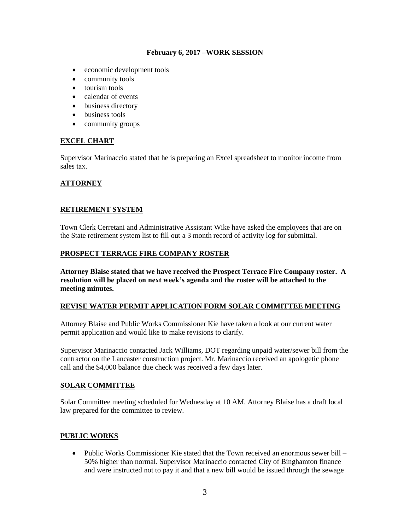## **February 6, 2017 –WORK SESSION**

- economic development tools
- community tools
- tourism tools
- calendar of events
- business directory
- business tools
- community groups

## **EXCEL CHART**

Supervisor Marinaccio stated that he is preparing an Excel spreadsheet to monitor income from sales tax.

# **ATTORNEY**

## **RETIREMENT SYSTEM**

Town Clerk Cerretani and Administrative Assistant Wike have asked the employees that are on the State retirement system list to fill out a 3 month record of activity log for submittal.

## **PROSPECT TERRACE FIRE COMPANY ROSTER**

**Attorney Blaise stated that we have received the Prospect Terrace Fire Company roster. A resolution will be placed on next week's agenda and the roster will be attached to the meeting minutes.**

## **REVISE WATER PERMIT APPLICATION FORM SOLAR COMMITTEE MEETING**

Attorney Blaise and Public Works Commissioner Kie have taken a look at our current water permit application and would like to make revisions to clarify.

Supervisor Marinaccio contacted Jack Williams, DOT regarding unpaid water/sewer bill from the contractor on the Lancaster construction project. Mr. Marinaccio received an apologetic phone call and the \$4,000 balance due check was received a few days later.

## **SOLAR COMMITTEE**

Solar Committee meeting scheduled for Wednesday at 10 AM. Attorney Blaise has a draft local law prepared for the committee to review.

# **PUBLIC WORKS**

• Public Works Commissioner Kie stated that the Town received an enormous sewer bill – 50% higher than normal. Supervisor Marinaccio contacted City of Binghamton finance and were instructed not to pay it and that a new bill would be issued through the sewage